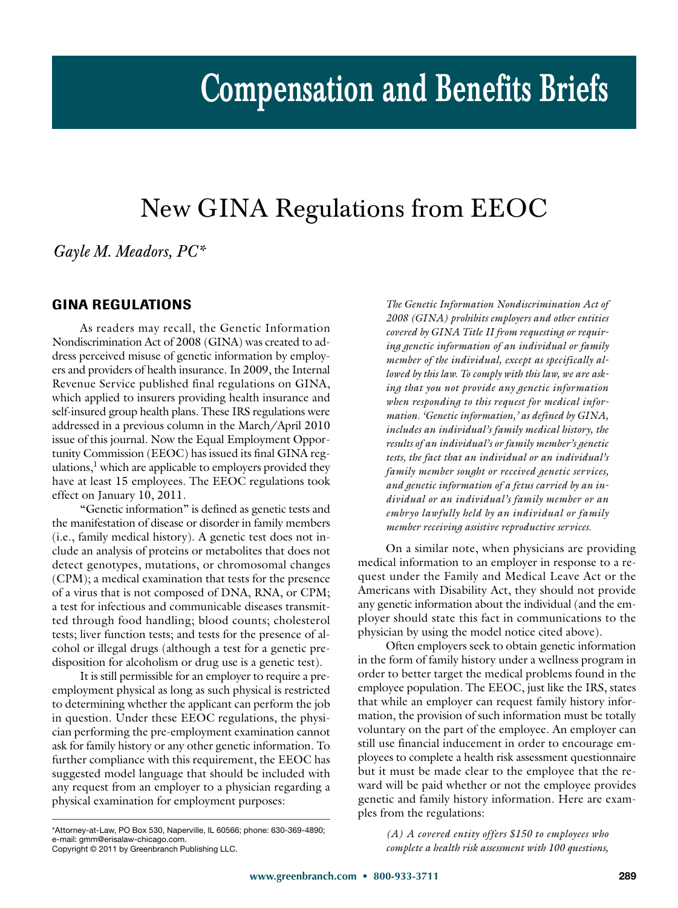# **Compensation and Benefits Briefs**

## New GINA Regulations from EEOC

*Gayle M. Meadors, PC\**

#### **GINA REGULATIONS**

As readers may recall, the Genetic Information Nondiscrimination Act of 2008 (GINA) was created to address perceived misuse of genetic information by employers and providers of health insurance. In 2009, the Internal Revenue Service published final regulations on GINA, which applied to insurers providing health insurance and self-insured group health plans. These IRS regulations were addressed in a previous column in the March/April 2010 issue of this journal. Now the Equal Employment Opportunity Commission (EEOC) has issued its final GINA regulations, $<sup>1</sup>$  which are applicable to employers provided they</sup> have at least 15 employees. The EEOC regulations took effect on January 10, 2011.

"Genetic information" is defined as genetic tests and the manifestation of disease or disorder in family members (i.e., family medical history). A genetic test does not include an analysis of proteins or metabolites that does not detect genotypes, mutations, or chromosomal changes (CPM); a medical examination that tests for the presence of a virus that is not composed of DNA, RNA, or CPM; a test for infectious and communicable diseases transmitted through food handling; blood counts; cholesterol tests; liver function tests; and tests for the presence of alcohol or illegal drugs (although a test for a genetic predisposition for alcoholism or drug use is a genetic test).

It is still permissible for an employer to require a preemployment physical as long as such physical is restricted to determining whether the applicant can perform the job in question. Under these EEOC regulations, the physician performing the pre-employment examination cannot ask for family history or any other genetic information. To further compliance with this requirement, the EEOC has suggested model language that should be included with any request from an employer to a physician regarding a physical examination for employment purposes:

\*Attorney-at-Law, PO Box 530, Naperville, IL 60566; phone: 630-369-4890; e-mail: gmmeentellam-entelligencem.<br>Convright © 2011 hv Greenbranch Pi

Copyright © 2011 by Greenbranch Publishing LLC.

*The Genetic Information Nondiscrimination Act of 2008 (GINA) prohibits employers and other entities covered by GINA Title II from requesting or requiring genetic information of an individual or family member of the individual, except as specifically allowed by this law. To comply with this law, we are asking that you not provide any genetic information when responding to this request for medical information. 'Genetic information,' as defined by GINA, includes an individual's family medical history, the results of an individual's or family member's genetic tests, the fact that an individual or an individual's family member sought or received genetic services, and genetic information of a fetus carried by an individual or an individual's family member or an embryo lawfully held by an individual or family member receiving assistive reproductive services.*

On a similar note, when physicians are providing medical information to an employer in response to a request under the Family and Medical Leave Act or the Americans with Disability Act, they should not provide any genetic information about the individual (and the employer should state this fact in communications to the physician by using the model notice cited above).

Often employers seek to obtain genetic information in the form of family history under a wellness program in order to better target the medical problems found in the employee population. The EEOC, just like the IRS, states that while an employer can request family history information, the provision of such information must be totally voluntary on the part of the employee. An employer can still use financial inducement in order to encourage employees to complete a health risk assessment questionnaire but it must be made clear to the employee that the reward will be paid whether or not the employee provides genetic and family history information. Here are examples from the regulations:

> *(A) A covered entity offers \$150 to employees who complete a health risk assessment with 100 questions,*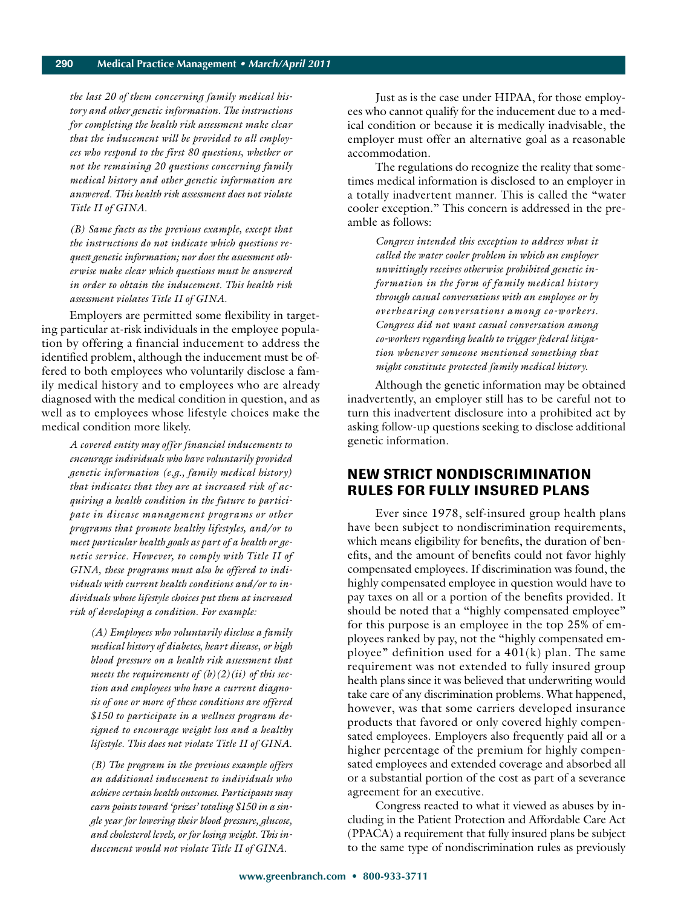*the last 20 of them concerning family medical history and other genetic information. The instructions for completing the health risk assessment make clear that the inducement will be provided to all employees who respond to the first 80 questions, whether or not the remaining 20 questions concerning family medical history and other genetic information are answered. This health risk assessment does not violate Title II of GINA.*

*(B) Same facts as the previous example, except that the instructions do not indicate which questions request genetic information; nor does the assessment otherwise make clear which questions must be answered in order to obtain the inducement. This health risk assessment violates Title II of GINA.*

Employers are permitted some flexibility in targeting particular at-risk individuals in the employee population by offering a financial inducement to address the identified problem, although the inducement must be offered to both employees who voluntarily disclose a family medical history and to employees who are already diagnosed with the medical condition in question, and as well as to employees whose lifestyle choices make the medical condition more likely.

*A covered entity may offer financial inducements to encourage individuals who have voluntarily provided genetic information (e.g., family medical history) that indicates that they are at increased risk of acquiring a health condition in the future to participate in disease management programs or other programs that promote healthy lifestyles, and/or to meet particular health goals as part of a health or genetic service. However, to comply with Title II of GINA, these programs must also be offered to individuals with current health conditions and/or to individuals whose lifestyle choices put them at increased risk of developing a condition. For example:*

*(A) Employees who voluntarily disclose a family medical history of diabetes, heart disease, or high blood pressure on a health risk assessment that meets the requirements of (b)(2)(ii) of this section and employees who have a current diagnosis of one or more of these conditions are offered \$150 to participate in a wellness program designed to encourage weight loss and a healthy lifestyle. This does not violate Title II of GINA.*

*(B) The program in the previous example offers an additional inducement to individuals who achieve certain health outcomes. Participants may earn points toward 'prizes' totaling \$150 in a single year for lowering their blood pressure, glucose, and cholesterol levels, or for losing weight. This inducement would not violate Title II of GINA.*

Just as is the case under HIPAA, for those employees who cannot qualify for the inducement due to a medical condition or because it is medically inadvisable, the employer must offer an alternative goal as a reasonable accommodation.

The regulations do recognize the reality that sometimes medical information is disclosed to an employer in a totally inadvertent manner. This is called the "water cooler exception." This concern is addressed in the preamble as follows:

*Congress intended this exception to address what it called the water cooler problem in which an employer unwittingly receives otherwise prohibited genetic information in the form of family medical history through casual conversations with an employee or by overhearing conversations among co-workers. Congress did not want casual conversation among co-workers regarding health to trigger federal litigation whenever someone mentioned something that might constitute protected family medical history.*

Although the genetic information may be obtained inadvertently, an employer still has to be careful not to turn this inadvertent disclosure into a prohibited act by asking follow-up questions seeking to disclose additional genetic information.

#### **NEW STRICT NONDISCRIMINATION RULES FOR FULLY INSURED PLANS**

Ever since 1978, self-insured group health plans have been subject to nondiscrimination requirements, which means eligibility for benefits, the duration of benefits, and the amount of benefits could not favor highly compensated employees. If discrimination was found, the highly compensated employee in question would have to pay taxes on all or a portion of the benefits provided. It should be noted that a "highly compensated employee" for this purpose is an employee in the top 25% of employees ranked by pay, not the "highly compensated employee" definition used for a  $401(k)$  plan. The same requirement was not extended to fully insured group health plans since it was believed that underwriting would take care of any discrimination problems. What happened, however, was that some carriers developed insurance products that favored or only covered highly compensated employees. Employers also frequently paid all or a higher percentage of the premium for highly compensated employees and extended coverage and absorbed all or a substantial portion of the cost as part of a severance agreement for an executive.

Congress reacted to what it viewed as abuses by including in the Patient Protection and Affordable Care Act (PPACA) a requirement that fully insured plans be subject to the same type of nondiscrimination rules as previously